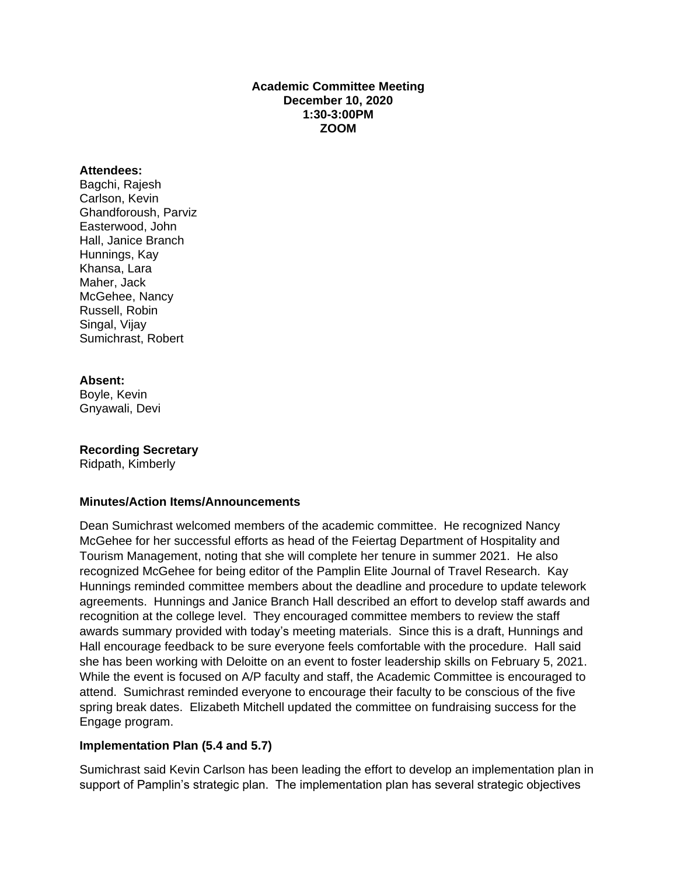### **Academic Committee Meeting December 10, 2020 1:30-3:00PM ZOOM**

#### **Attendees:**

Bagchi, Rajesh Carlson, Kevin Ghandforoush, Parviz Easterwood, John Hall, Janice Branch Hunnings, Kay Khansa, Lara Maher, Jack McGehee, Nancy Russell, Robin Singal, Vijay Sumichrast, Robert

### **Absent:**

Boyle, Kevin Gnyawali, Devi

# **Recording Secretary**

Ridpath, Kimberly

### **Minutes/Action Items/Announcements**

Dean Sumichrast welcomed members of the academic committee. He recognized Nancy McGehee for her successful efforts as head of the Feiertag Department of Hospitality and Tourism Management, noting that she will complete her tenure in summer 2021. He also recognized McGehee for being editor of the Pamplin Elite Journal of Travel Research. Kay Hunnings reminded committee members about the deadline and procedure to update telework agreements. Hunnings and Janice Branch Hall described an effort to develop staff awards and recognition at the college level. They encouraged committee members to review the staff awards summary provided with today's meeting materials. Since this is a draft, Hunnings and Hall encourage feedback to be sure everyone feels comfortable with the procedure. Hall said she has been working with Deloitte on an event to foster leadership skills on February 5, 2021. While the event is focused on A/P faculty and staff, the Academic Committee is encouraged to attend. Sumichrast reminded everyone to encourage their faculty to be conscious of the five spring break dates. Elizabeth Mitchell updated the committee on fundraising success for the Engage program.

### **Implementation Plan (5.4 and 5.7)**

Sumichrast said Kevin Carlson has been leading the effort to develop an implementation plan in support of Pamplin's strategic plan. The implementation plan has several strategic objectives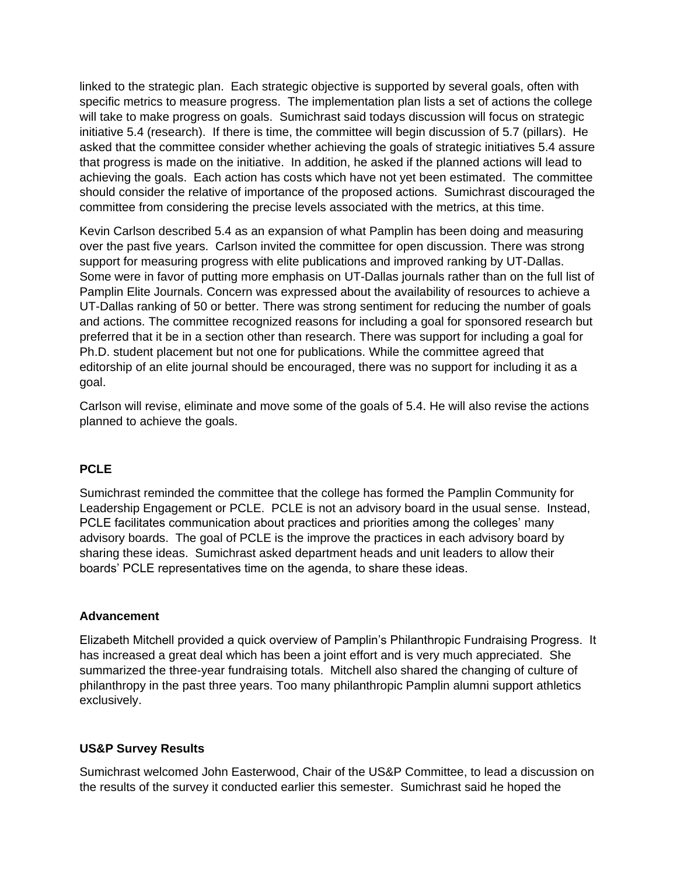linked to the strategic plan. Each strategic objective is supported by several goals, often with specific metrics to measure progress. The implementation plan lists a set of actions the college will take to make progress on goals. Sumichrast said todays discussion will focus on strategic initiative 5.4 (research). If there is time, the committee will begin discussion of 5.7 (pillars). He asked that the committee consider whether achieving the goals of strategic initiatives 5.4 assure that progress is made on the initiative. In addition, he asked if the planned actions will lead to achieving the goals. Each action has costs which have not yet been estimated. The committee should consider the relative of importance of the proposed actions. Sumichrast discouraged the committee from considering the precise levels associated with the metrics, at this time.

Kevin Carlson described 5.4 as an expansion of what Pamplin has been doing and measuring over the past five years. Carlson invited the committee for open discussion. There was strong support for measuring progress with elite publications and improved ranking by UT-Dallas. Some were in favor of putting more emphasis on UT-Dallas journals rather than on the full list of Pamplin Elite Journals. Concern was expressed about the availability of resources to achieve a UT-Dallas ranking of 50 or better. There was strong sentiment for reducing the number of goals and actions. The committee recognized reasons for including a goal for sponsored research but preferred that it be in a section other than research. There was support for including a goal for Ph.D. student placement but not one for publications. While the committee agreed that editorship of an elite journal should be encouraged, there was no support for including it as a goal.

Carlson will revise, eliminate and move some of the goals of 5.4. He will also revise the actions planned to achieve the goals.

### **PCLE**

Sumichrast reminded the committee that the college has formed the Pamplin Community for Leadership Engagement or PCLE. PCLE is not an advisory board in the usual sense. Instead, PCLE facilitates communication about practices and priorities among the colleges' many advisory boards. The goal of PCLE is the improve the practices in each advisory board by sharing these ideas. Sumichrast asked department heads and unit leaders to allow their boards' PCLE representatives time on the agenda, to share these ideas.

#### **Advancement**

Elizabeth Mitchell provided a quick overview of Pamplin's Philanthropic Fundraising Progress. It has increased a great deal which has been a joint effort and is very much appreciated. She summarized the three-year fundraising totals. Mitchell also shared the changing of culture of philanthropy in the past three years. Too many philanthropic Pamplin alumni support athletics exclusively.

#### **US&P Survey Results**

Sumichrast welcomed John Easterwood, Chair of the US&P Committee, to lead a discussion on the results of the survey it conducted earlier this semester. Sumichrast said he hoped the